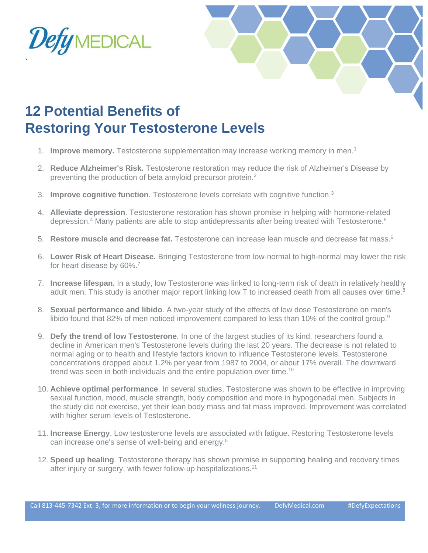

`



## **12 Potential Benefits of Restoring Your Testosterone Levels**

- 1. **Improve memory.** Testosterone supplementation may increase working memory in men.<sup>1</sup>
- 2. **Reduce Alzheimer's Risk.** Testosterone restoration may reduce the risk of Alzheimer's Disease by preventing the production of beta amyloid precursor protein.<sup>2</sup>
- 3. **Improve cognitive function**. Testosterone levels correlate with cognitive function.<sup>3</sup>
- 4. **Alleviate depression**. Testosterone restoration has shown promise in helping with hormone-related depression.<sup>4</sup> Many patients are able to stop antidepressants after being treated with Testosterone.<sup>5</sup>
- 5. **Restore muscle and decrease fat.** Testosterone can increase lean muscle and decrease fat mass.<sup>6</sup>
- 6. **Lower Risk of Heart Disease.** Bringing Testosterone from low-normal to high-normal may lower the risk for heart disease by 60%.<sup>7</sup>
- 7. **Increase lifespan.** In a study, low Testosterone was linked to long-term risk of death in relatively healthy adult men. This study is another major report linking low T to increased death from all causes over time.<sup>8</sup>
- 8. **Sexual performance and libido**. A two-year study of the effects of low dose Testosterone on men's libido found that 82% of men noticed improvement compared to less than 10% of the control group.<sup>9</sup>
- 9. **Defy the trend of low Testosterone**. In one of the largest studies of its kind, researchers found a decline in American men's Testosterone levels during the last 20 years. The decrease is not related to normal aging or to health and lifestyle factors known to influence Testosterone levels. Testosterone concentrations dropped about 1.2% per year from 1987 to 2004, or about 17% overall. The downward trend was seen in both individuals and the entire population over time.<sup>10</sup>
- 10. **Achieve optimal performance**. In several studies, Testosterone was shown to be effective in improving sexual function, mood, muscle strength, body composition and more in hypogonadal men. Subjects in the study did not exercise, yet their lean body mass and fat mass improved. Improvement was correlated with higher serum levels of Testosterone.
- 11. **Increase Energy**. Low testosterone levels are associated with fatigue. Restoring Testosterone levels can increase one's sense of well-being and energy. 5
- 12. **Speed up healing**. Testosterone therapy has shown promise in supporting healing and recovery times after injury or surgery, with fewer follow-up hospitalizations.<sup>11</sup>